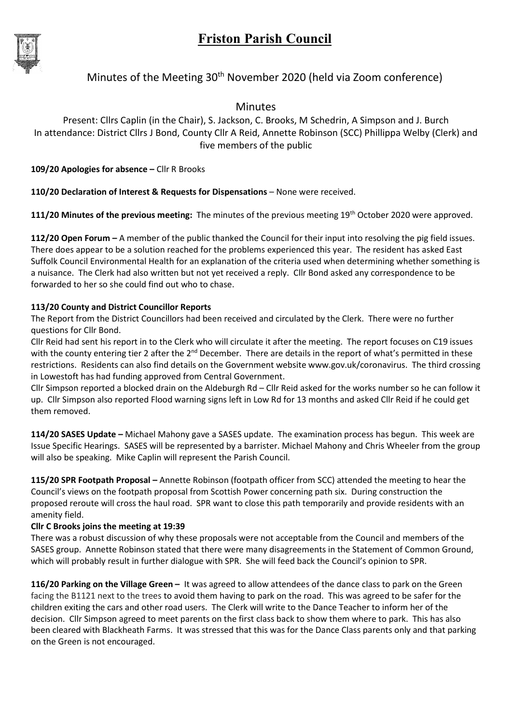

## Minutes of the Meeting 30<sup>th</sup> November 2020 (held via Zoom conference)

Minutes

Present: Cllrs Caplin (in the Chair), S. Jackson, C. Brooks, M Schedrin, A Simpson and J. Burch In attendance: District Cllrs J Bond, County Cllr A Reid, Annette Robinson (SCC) Phillippa Welby (Clerk) and five members of the public

109/20 Apologies for absence - Cllr R Brooks

110/20 Declaration of Interest & Requests for Dispensations – None were received.

111/20 Minutes of the previous meeting: The minutes of the previous meeting 19<sup>th</sup> October 2020 were approved.

112/20 Open Forum – A member of the public thanked the Council for their input into resolving the pig field issues. There does appear to be a solution reached for the problems experienced this year. The resident has asked East Suffolk Council Environmental Health for an explanation of the criteria used when determining whether something is a nuisance. The Clerk had also written but not yet received a reply. Cllr Bond asked any correspondence to be forwarded to her so she could find out who to chase.

## 113/20 County and District Councillor Reports

The Report from the District Councillors had been received and circulated by the Clerk. There were no further questions for Cllr Bond.

Cllr Reid had sent his report in to the Clerk who will circulate it after the meeting. The report focuses on C19 issues with the county entering tier 2 after the 2<sup>nd</sup> December. There are details in the report of what's permitted in these restrictions. Residents can also find details on the Government website www.gov.uk/coronavirus. The third crossing in Lowestoft has had funding approved from Central Government.

Cllr Simpson reported a blocked drain on the Aldeburgh Rd – Cllr Reid asked for the works number so he can follow it up. Cllr Simpson also reported Flood warning signs left in Low Rd for 13 months and asked Cllr Reid if he could get them removed.

114/20 SASES Update – Michael Mahony gave a SASES update. The examination process has begun. This week are Issue Specific Hearings. SASES will be represented by a barrister. Michael Mahony and Chris Wheeler from the group will also be speaking. Mike Caplin will represent the Parish Council.

115/20 SPR Footpath Proposal – Annette Robinson (footpath officer from SCC) attended the meeting to hear the Council's views on the footpath proposal from Scottish Power concerning path six. During construction the proposed reroute will cross the haul road. SPR want to close this path temporarily and provide residents with an amenity field.

## Cllr C Brooks joins the meeting at 19:39

There was a robust discussion of why these proposals were not acceptable from the Council and members of the SASES group. Annette Robinson stated that there were many disagreements in the Statement of Common Ground, which will probably result in further dialogue with SPR. She will feed back the Council's opinion to SPR.

116/20 Parking on the Village Green – It was agreed to allow attendees of the dance class to park on the Green facing the B1121 next to the trees to avoid them having to park on the road. This was agreed to be safer for the children exiting the cars and other road users. The Clerk will write to the Dance Teacher to inform her of the decision. Cllr Simpson agreed to meet parents on the first class back to show them where to park. This has also been cleared with Blackheath Farms. It was stressed that this was for the Dance Class parents only and that parking on the Green is not encouraged.